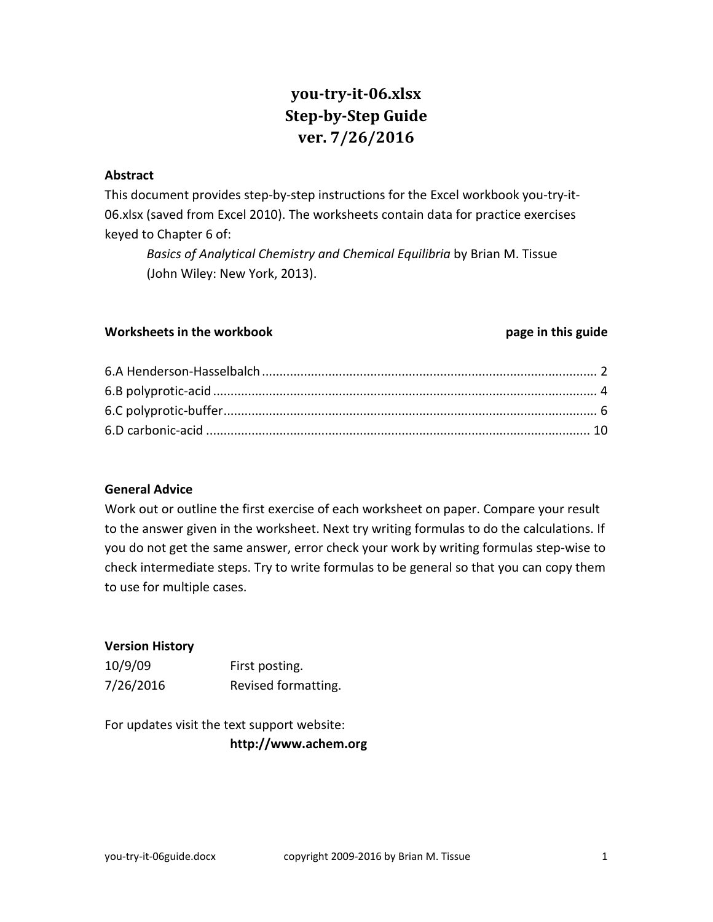# **you-try-it-06.xlsx Step-by-Step Guide ver. 7/26/2016**

#### **Abstract**

This document provides step-by-step instructions for the Excel workbook you-try-it-06.xlsx (saved from Excel 2010). The worksheets contain data for practice exercises keyed to Chapter 6 of:

*Basics of Analytical Chemistry and Chemical Equilibria* by Brian M. Tissue (John Wiley: New York, 2013).

### **Worksheets in the workbook page in this guide**

### **General Advice**

Work out or outline the first exercise of each worksheet on paper. Compare your result to the answer given in the worksheet. Next try writing formulas to do the calculations. If you do not get the same answer, error check your work by writing formulas step-wise to check intermediate steps. Try to write formulas to be general so that you can copy them to use for multiple cases.

### **Version History**

| 10/9/09   | First posting.      |
|-----------|---------------------|
| 7/26/2016 | Revised formatting. |

For updates visit the text support website: **http://www.achem.org**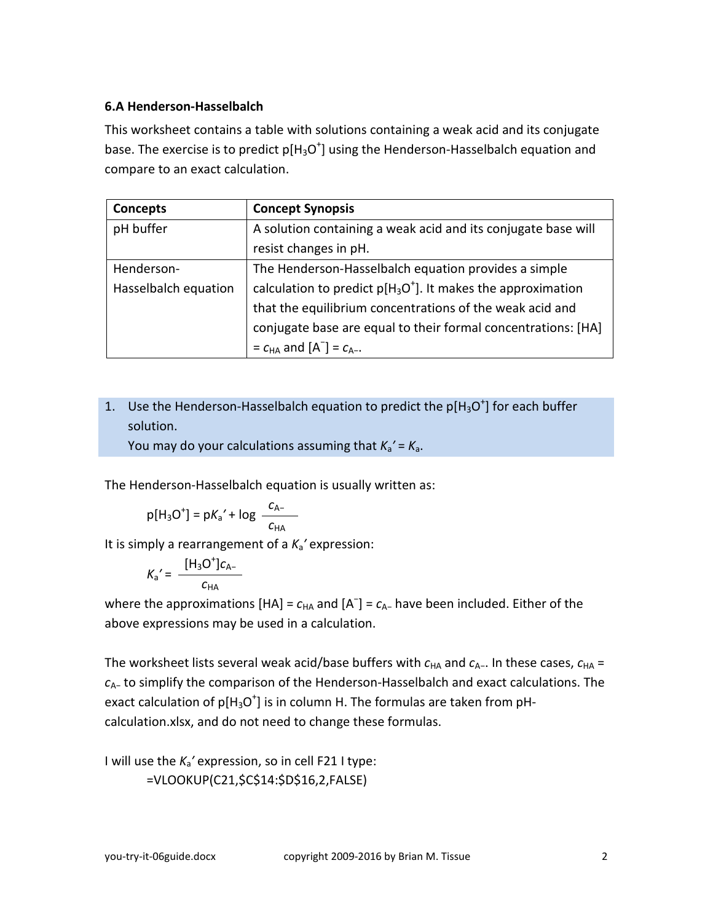## <span id="page-1-0"></span>**6.A Henderson-Hasselbalch**

This worksheet contains a table with solutions containing a weak acid and its conjugate base. The exercise is to predict  $p[H_3O^+]$  using the Henderson-Hasselbalch equation and compare to an exact calculation.

| Concepts             | <b>Concept Synopsis</b>                                         |  |  |
|----------------------|-----------------------------------------------------------------|--|--|
| pH buffer            | A solution containing a weak acid and its conjugate base will   |  |  |
|                      | resist changes in pH.                                           |  |  |
| Henderson-           | The Henderson-Hasselbalch equation provides a simple            |  |  |
| Hasselbalch equation | calculation to predict $p[H_3O^+]$ . It makes the approximation |  |  |
|                      | that the equilibrium concentrations of the weak acid and        |  |  |
|                      | conjugate base are equal to their formal concentrations: [HA]   |  |  |
|                      | $= c_{HA}$ and $[A^-] = c_{A}$ .                                |  |  |

# 1. Use the Henderson-Hasselbalch equation to predict the  $p[H_3O^+]$  for each buffer solution.

You may do your calculations assuming that  $K_a' = K_a$ .

The Henderson-Hasselbalch equation is usually written as:

$$
p[H_3O^+] = pK_a' + log \frac{C_{A-}}{C_{HA}}
$$

It is simply a rearrangement of a *K*a*′* expression:

$$
K_{\rm a}' = \frac{[H_{\rm 3}O^+]c_{\rm A-}}{c_{\rm HA}}
$$

where the approximations  $[HA] = c_{HA}$  and  $[A^-] = c_{A-}$  have been included. Either of the above expressions may be used in a calculation.

The worksheet lists several weak acid/base buffers with  $c_{HA}$  and  $c_{A-}$ . In these cases,  $c_{HA}$  = *c*A− to simplify the comparison of the Henderson-Hasselbalch and exact calculations. The exact calculation of  $p[H_3O^+]$  is in column H. The formulas are taken from pHcalculation.xlsx, and do not need to change these formulas.

I will use the *K*a*′* expression, so in cell F21 I type: =VLOOKUP(C21,\$C\$14:\$D\$16,2,FALSE)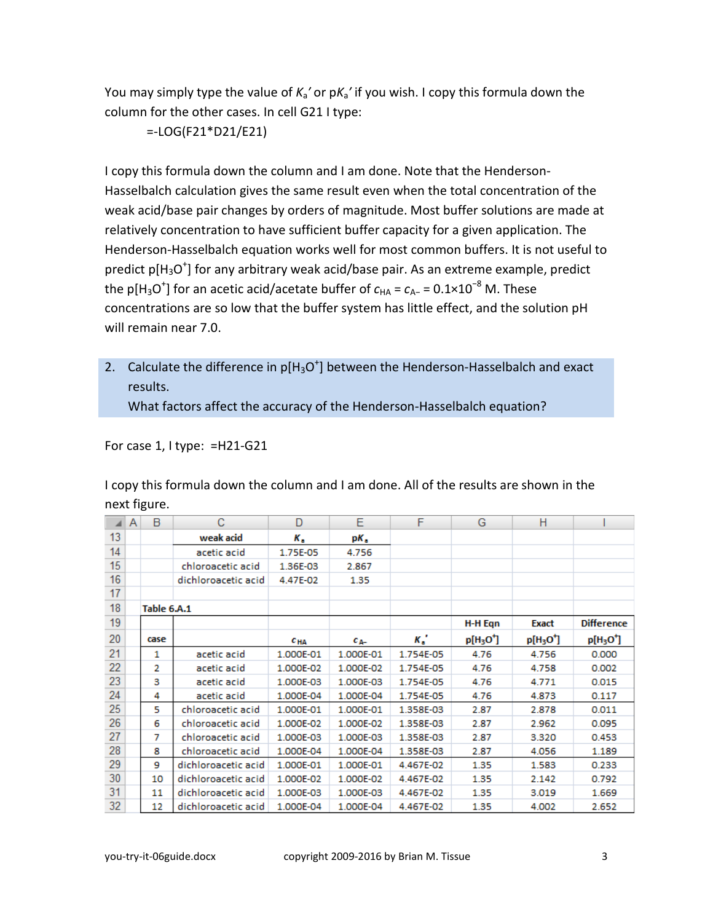You may simply type the value of *K*a*′* or p*K*a*′* if you wish. I copy this formula down the column for the other cases. In cell G21 I type:

=-LOG(F21\*D21/E21)

I copy this formula down the column and I am done. Note that the Henderson-Hasselbalch calculation gives the same result even when the total concentration of the weak acid/base pair changes by orders of magnitude. Most buffer solutions are made at relatively concentration to have sufficient buffer capacity for a given application. The Henderson-Hasselbalch equation works well for most common buffers. It is not useful to predict  $p[H_3O^+]$  for any arbitrary weak acid/base pair. As an extreme example, predict the p[H<sub>3</sub>O<sup>+</sup>] for an acetic acid/acetate buffer of  $c_\text{\tiny HA}$  =  $c_\text{\tiny A-}$  = 0.1×10<sup>−8</sup> M. These concentrations are so low that the buffer system has little effect, and the solution pH will remain near 7.0.

2. Calculate the difference in  $p[H_3O^+]$  between the Henderson-Hasselbalch and exact results.

What factors affect the accuracy of the Henderson-Hasselbalch equation?

For case 1, I type: =H21-G21

I copy this formula down the column and I am done. All of the results are shown in the next figure.

|    | A | B           | с                   | D            | Ε           | F         | G         | н         |                   |
|----|---|-------------|---------------------|--------------|-------------|-----------|-----------|-----------|-------------------|
| 13 |   |             | weak acid           | к.           | pК,         |           |           |           |                   |
| 14 |   |             | acetic acid         | 1.75E-05     | 4.756       |           |           |           |                   |
| 15 |   |             | chloroacetic acid   | 1.36E-03     | 2.867       |           |           |           |                   |
| 16 |   |             | dichloroacetic acid | 4.47E-02     | 1.35        |           |           |           |                   |
| 17 |   |             |                     |              |             |           |           |           |                   |
| 18 |   | Table 6.A.1 |                     |              |             |           |           |           |                   |
| 19 |   |             |                     |              |             |           | H-H Eqn   | Exact     | <b>Difference</b> |
| 20 |   | case        |                     | $c_{\rm HA}$ | $c_{\rm A}$ | к.'       | $p[H3O+]$ | $p[H3O+]$ | $p[H3O+]$         |
| 21 |   | 1           | acetic acid         | 1.000E-01    | 1.000E-01   | 1.754E-05 | 4.76      | 4.756     | 0.000             |
| 22 |   | 2           | acetic acid         | 1.000E-02    | 1.000E-02   | 1.754E-05 | 4.76      | 4.758     | 0.002             |
| 23 |   | з           | acetic acid         | 1.000E-03    | 1.000E-03   | 1.754E-05 | 4.76      | 4.771     | 0.015             |
| 24 |   | 4           | acetic acid         | 1.000E-04    | 1.000E-04   | 1.754E-05 | 4.76      | 4.873     | 0.117             |
| 25 |   | 5           | chloroacetic acid   | 1.000E-01    | 1.000E-01   | 1.358E-03 | 2.87      | 2.878     | 0.011             |
| 26 |   | 6           | chloroacetic acid   | 1.000E-02    | 1.000E-02   | 1.358E-03 | 2.87      | 2.962     | 0.095             |
| 27 |   | 7           | chloroacetic acid   | 1.000E-03    | 1.000E-03   | 1.358E-03 | 2.87      | 3.320     | 0.453             |
| 28 |   | 8           | chloroacetic acid   | 1.000E-04    | 1.000E-04   | 1.358E-03 | 2.87      | 4.056     | 1.189             |
| 29 |   | 9           | dichloroacetic acid | 1.000E-01    | 1.000E-01   | 4.467E-02 | 1.35      | 1.583     | 0.233             |
| 30 |   | 10          | dichloroacetic acid | 1.000E-02    | 1.000E-02   | 4.467E-02 | 1.35      | 2.142     | 0.792             |
| 31 |   | 11          | dichloroacetic acid | 1.000E-03    | 1.000E-03   | 4.467E-02 | 1.35      | 3.019     | 1.669             |
| 32 |   | 12          | dichloroacetic acid | 1.000E-04    | 1.000E-04   | 4.467E-02 | 1.35      | 4.002     | 2.652             |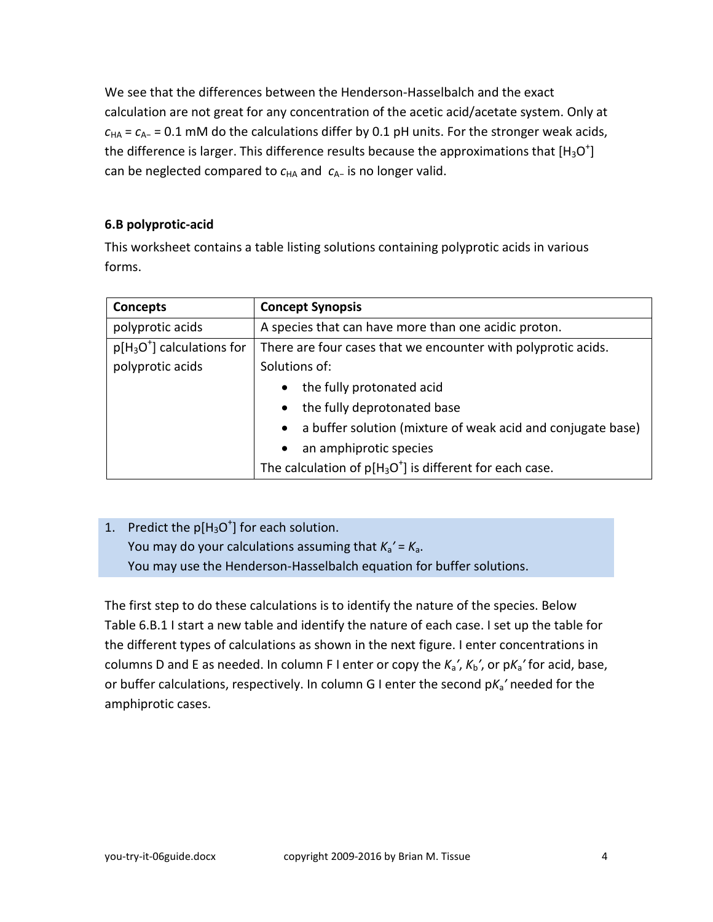We see that the differences between the Henderson-Hasselbalch and the exact calculation are not great for any concentration of the acetic acid/acetate system. Only at *c*HA = *c*A<sup>−</sup> = 0.1 mM do the calculations differ by 0.1 pH units. For the stronger weak acids, the difference is larger. This difference results because the approximations that  $[H_3O^+]$ can be neglected compared to *c*<sub>HA</sub> and *c*<sub>A−</sub> is no longer valid.

## <span id="page-3-0"></span>**6.B polyprotic-acid**

This worksheet contains a table listing solutions containing polyprotic acids in various forms.

| Concepts                   | <b>Concept Synopsis</b>                                                  |  |  |  |  |
|----------------------------|--------------------------------------------------------------------------|--|--|--|--|
| polyprotic acids           | A species that can have more than one acidic proton.                     |  |  |  |  |
| $p[H3O+]$ calculations for | There are four cases that we encounter with polyprotic acids.            |  |  |  |  |
| polyprotic acids           | Solutions of:                                                            |  |  |  |  |
|                            | the fully protonated acid<br>$\bullet$                                   |  |  |  |  |
|                            | the fully deprotonated base<br>$\bullet$                                 |  |  |  |  |
|                            | a buffer solution (mixture of weak acid and conjugate base)<br>$\bullet$ |  |  |  |  |
|                            | an amphiprotic species<br>$\bullet$                                      |  |  |  |  |
|                            | The calculation of $p[H_3O^+]$ is different for each case.               |  |  |  |  |

# 1. Predict the  $p[H_3O^+]$  for each solution. You may do your calculations assuming that  $K_a' = K_a$ . You may use the Henderson-Hasselbalch equation for buffer solutions.

The first step to do these calculations is to identify the nature of the species. Below Table 6.B.1 I start a new table and identify the nature of each case. I set up the table for the different types of calculations as shown in the next figure. I enter concentrations in columns D and E as needed. In column F I enter or copy the *K*a*′*, *K*b*′*, or p*K*a*′* for acid, base, or buffer calculations, respectively. In column G I enter the second p*K*a*′* needed for the amphiprotic cases.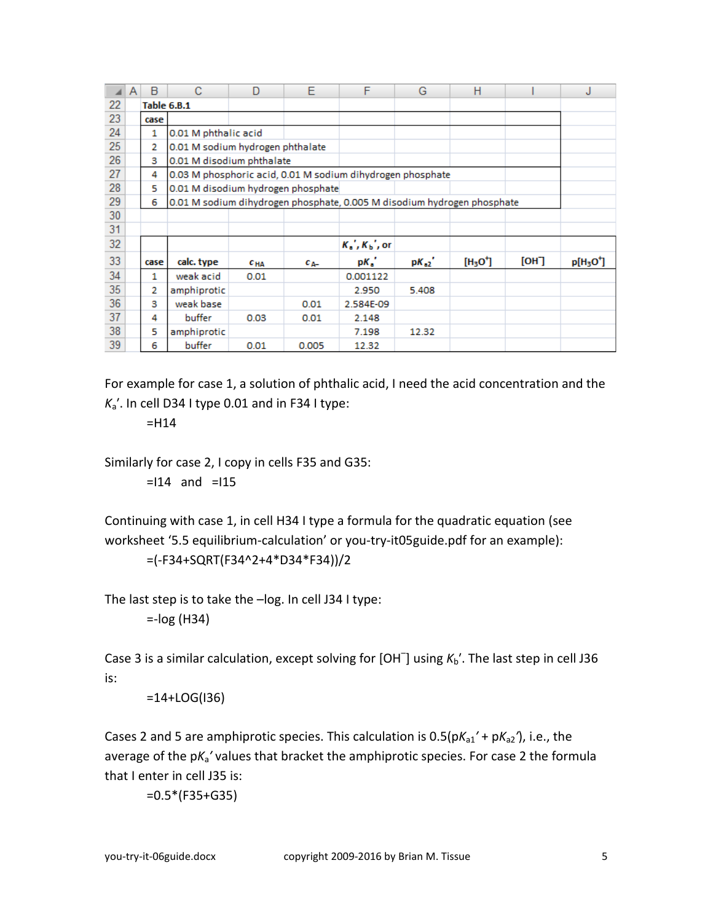|    | A | B    | С                                                                       | D        | E           | F                  | G         | н        |      | J                                 |
|----|---|------|-------------------------------------------------------------------------|----------|-------------|--------------------|-----------|----------|------|-----------------------------------|
| 22 |   |      | <b>Table 6.B.1</b>                                                      |          |             |                    |           |          |      |                                   |
| 23 |   | case |                                                                         |          |             |                    |           |          |      |                                   |
| 24 |   | 1    | 0.01 M phthalic acid                                                    |          |             |                    |           |          |      |                                   |
| 25 |   | 2    | 0.01 M sodium hydrogen phthalate                                        |          |             |                    |           |          |      |                                   |
| 26 |   | з    | 0.01 M disodium phthalate                                               |          |             |                    |           |          |      |                                   |
| 27 |   | 4    | 0.03 M phosphoric acid, 0.01 M sodium dihydrogen phosphate              |          |             |                    |           |          |      |                                   |
| 28 |   | 5    | 0.01 M disodium hydrogen phosphate                                      |          |             |                    |           |          |      |                                   |
| 29 |   | 6    | 0.01 M sodium dihydrogen phosphate, 0.005 M disodium hydrogen phosphate |          |             |                    |           |          |      |                                   |
| 30 |   |      |                                                                         |          |             |                    |           |          |      |                                   |
| 31 |   |      |                                                                         |          |             |                    |           |          |      |                                   |
| 32 |   |      |                                                                         |          |             | $K_a$ , $K_b$ , or |           |          |      |                                   |
| 33 |   | case | calc. type                                                              | $c_{HA}$ | $c_{\rm A}$ | $pK_{a}$           | $pK_{a2}$ | $[H3O+]$ | [OH] | p[H <sub>3</sub> O <sup>+</sup> ] |
| 34 |   | 1    | weak acid                                                               | 0.01     |             | 0.001122           |           |          |      |                                   |
| 35 |   | 2    | amphiprotic                                                             |          |             | 2.950              | 5.408     |          |      |                                   |
| 36 |   | з    | weak base                                                               |          | 0.01        | 2.584E-09          |           |          |      |                                   |
| 37 |   | 4    | buffer                                                                  | 0.03     | 0.01        | 2.148              |           |          |      |                                   |
| 38 |   | 5    | amphiprotic                                                             |          |             | 7.198              | 12.32     |          |      |                                   |
| 39 |   | 6    | buffer                                                                  | 0.01     | 0.005       | 12.32              |           |          |      |                                   |

For example for case 1, a solution of phthalic acid, I need the acid concentration and the  $K_a'$ . In cell D34 I type 0.01 and in F34 I type:

 $=$ H14

Similarly for case 2, I copy in cells F35 and G35:

 $=114$  and  $=115$ 

Continuing with case 1, in cell H34 I type a formula for the quadratic equation (see worksheet '5.5 equilibrium-calculation' or you-try-it05guide.pdf for an example):

=(-F34+SQRT(F34^2+4\*D34\*F34))/2

The last step is to take the –log. In cell J34 I type:

 $=$ -log (H34)

Case 3 is a similar calculation, except solving for [OH<sup>-</sup>] using  $K_b'$ . The last step in cell J36 is:

=14+LOG(I36)

Cases 2 and 5 are amphiprotic species. This calculation is 0.5(p*K*a1*′* + p*K*a2*′*), i.e., the average of the p*K*a*′* values that bracket the amphiprotic species. For case 2 the formula that I enter in cell J35 is:

=0.5\*(F35+G35)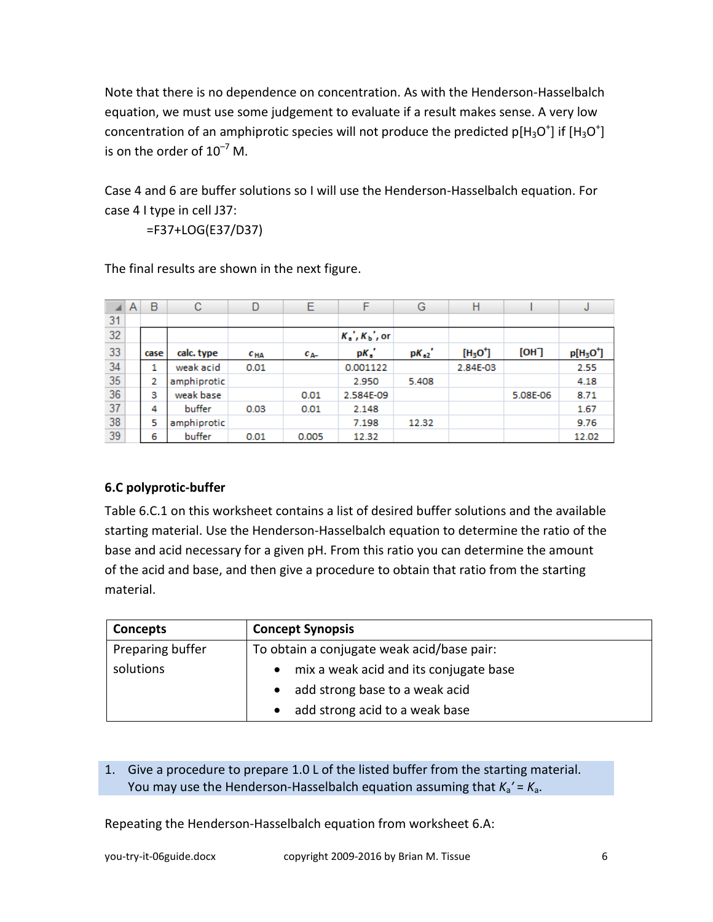Note that there is no dependence on concentration. As with the Henderson-Hasselbalch equation, we must use some judgement to evaluate if a result makes sense. A very low concentration of an amphiprotic species will not produce the predicted p[H<sub>3</sub>O<sup>+</sup>] if [H<sub>3</sub>O<sup>+</sup>] is on the order of  $10^{-7}$  M.

Case 4 and 6 are buffer solutions so I will use the Henderson-Hasselbalch equation. For case 4 I type in cell J37:

=F37+LOG(E37/D37)

|    | A | B    | с           | D            | Ε        | F                  | G         | Η        |          | υ         |
|----|---|------|-------------|--------------|----------|--------------------|-----------|----------|----------|-----------|
| 31 |   |      |             |              |          |                    |           |          |          |           |
| 32 |   |      |             |              |          | $K_a$ , $K_b$ , or |           |          |          |           |
| 33 |   | case | calc. type  | $c_{\rm HA}$ | $c_{A-}$ | $pK_{a}$           | $pK_{a2}$ | $[H3O+]$ | [OH]     | $p[H3O+]$ |
| 34 |   | 1    | weak acid   | 0.01         |          | 0.001122           |           | 2.84E-03 |          | 2.55      |
| 35 |   | 2    | amphiprotic |              |          | 2.950              | 5.408     |          |          | 4.18      |
| 36 |   | з    | weak base   |              | 0.01     | 2.584E-09          |           |          | 5.08E-06 | 8.71      |
| 37 |   | 4    | buffer      | 0.03         | 0.01     | 2.148              |           |          |          | 1.67      |
| 38 |   | 5    | amphiprotic |              |          | 7.198              | 12.32     |          |          | 9.76      |
| 39 |   | 6    | buffer      | 0.01         | 0.005    | 12.32              |           |          |          | 12.02     |

The final results are shown in the next figure.

# <span id="page-5-0"></span>**6.C polyprotic-buffer**

Table 6.C.1 on this worksheet contains a list of desired buffer solutions and the available starting material. Use the Henderson-Hasselbalch equation to determine the ratio of the base and acid necessary for a given pH. From this ratio you can determine the amount of the acid and base, and then give a procedure to obtain that ratio from the starting material.

| Concepts         | <b>Concept Synopsis</b>                    |  |  |  |
|------------------|--------------------------------------------|--|--|--|
| Preparing buffer | To obtain a conjugate weak acid/base pair: |  |  |  |
| solutions        | • mix a weak acid and its conjugate base   |  |  |  |
|                  | • add strong base to a weak acid           |  |  |  |
|                  | add strong acid to a weak base             |  |  |  |

## 1. Give a procedure to prepare 1.0 L of the listed buffer from the starting material. You may use the Henderson-Hasselbalch equation assuming that  $K_a' = K_a$ .

Repeating the Henderson-Hasselbalch equation from worksheet 6.A: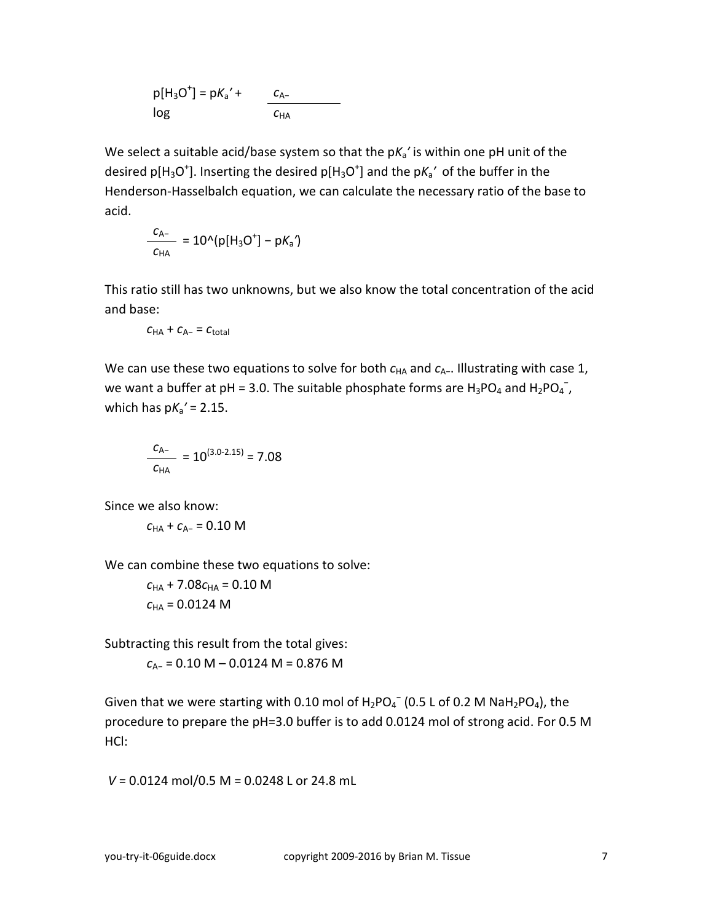$p[H_3O^+] = pK_a' +$ log *c*A−  $c$ <sub>HA</sub>

We select a suitable acid/base system so that the pK<sub>a</sub>' is within one pH unit of the desired p[H<sub>3</sub>O<sup>+</sup>]. Inserting the desired p[H<sub>3</sub>O<sup>+</sup>] and the pK<sub>a</sub>' of the buffer in the Henderson-Hasselbalch equation, we can calculate the necessary ratio of the base to acid.

$$
\frac{c_{A-}}{c_{HA}} = 10^{(p[H_3O^+]-pK_a')}
$$

This ratio still has two unknowns, but we also know the total concentration of the acid and base:

$$
C_{\mathsf{HA}}+C_{\mathsf{A}^{\scriptscriptstyle{-}}} = C_{\mathsf{total}}
$$

We can use these two equations to solve for both  $c_{HA}$  and  $c_{A-}$ . Illustrating with case 1, we want a buffer at pH = 3.0. The suitable phosphate forms are  $H_3PO_4$  and  $H_2PO_4^-$ , which has p*K*a*′* = 2.15.

$$
\frac{C_{A-}}{C_{HA}} = 10^{(3.0-2.15)} = 7.08
$$

Since we also know:

$$
c_{HA}+c_{A-}=0.10~M
$$

We can combine these two equations to solve:

 $c_{HA}$  + 7.08 $c_{HA}$  = 0.10 M  $c_{HA} = 0.0124 M$ 

Subtracting this result from the total gives:

*c*A− = 0.10 M – 0.0124 M = 0.876 M

Given that we were starting with 0.10 mol of  $H_2PO_4^-$  (0.5 L of 0.2 M Na $H_2PO_4$ ), the procedure to prepare the pH=3.0 buffer is to add 0.0124 mol of strong acid. For 0.5 M HCl:

*V* = 0.0124 mol/0.5 M = 0.0248 L or 24.8 mL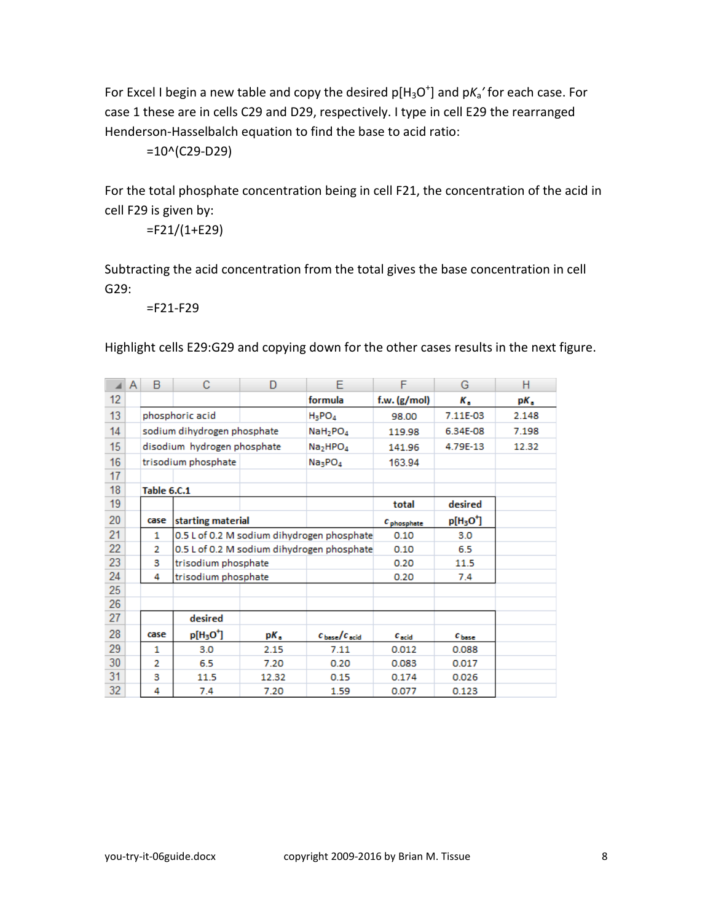For Excel I begin a new table and copy the desired p[H<sub>3</sub>O<sup>+</sup>] and pK<sub>a</sub>' for each case. For case 1 these are in cells C29 and D29, respectively. I type in cell E29 the rearranged Henderson-Hasselbalch equation to find the base to acid ratio:

=10^(C29-D29)

For the total phosphate concentration being in cell F21, the concentration of the acid in cell F29 is given by:

=F21/(1+E29)

Subtracting the acid concentration from the total gives the base concentration in cell G29:

=F21-F29

Highlight cells E29:G29 and copying down for the other cases results in the next figure.

|    | A | B           | С                                 | D     | Е                                          | F                  | G          | н     |
|----|---|-------------|-----------------------------------|-------|--------------------------------------------|--------------------|------------|-------|
| 12 |   |             |                                   |       | formula                                    | f.w. (g/mol)       | к.         | pК.   |
| 13 |   |             | phosphoric acid                   |       | $H_3PO_4$                                  | 98.00              | 7.11E-03   | 2.148 |
| 14 |   |             | sodium dihydrogen phosphate       |       | NaH <sub>2</sub> PO <sub>4</sub>           | 119.98             | 6.34E-08   | 7.198 |
| 15 |   |             | disodium hydrogen phosphate       |       | Na <sub>2</sub> HPO <sub>4</sub>           | 141.96             | 4.79E-13   | 12.32 |
| 16 |   |             | trisodium phosphate               |       | Na <sub>3</sub> PO <sub>4</sub>            | 163.94             |            |       |
| 17 |   |             |                                   |       |                                            |                    |            |       |
| 18 |   | Table 6.C.1 |                                   |       |                                            |                    |            |       |
| 19 |   |             |                                   |       |                                            | total              | desired    |       |
| 20 |   | case        | starting material                 |       |                                            | $c_{\text{phase}}$ | $p[H3O+]$  |       |
| 21 |   | 1           |                                   |       | 0.5 L of 0.2 M sodium dihydrogen phosphate | 0.10               | 3.0        |       |
| 22 |   | 2           |                                   |       | 0.5 L of 0.2 M sodium dihydrogen phosphate | 0.10               | 6.5        |       |
| 23 |   | з           | trisodium phosphate               |       |                                            | 0.20               | 11.5       |       |
| 24 |   | 4           | trisodium phosphate               |       |                                            | 0.20               | 7.4        |       |
| 25 |   |             |                                   |       |                                            |                    |            |       |
| 26 |   |             |                                   |       |                                            |                    |            |       |
| 27 |   |             | desired                           |       |                                            |                    |            |       |
| 28 |   | case        | p[H <sub>3</sub> O <sup>+</sup> ] | pК,   | $c_{\text{base}}/c_{\text{acid}}$          | $c_{\rm acid}$     | $c_{base}$ |       |
| 29 |   | 1           | 3.0                               | 2.15  | 7.11                                       | 0.012              | 0.088      |       |
| 30 |   | 2           | 6.5                               | 7.20  | 0.20                                       | 0.083              | 0.017      |       |
| 31 |   | 3           | 11.5                              | 12.32 | 0.15                                       | 0.174              | 0.026      |       |
| 32 |   | 4           | 7.4                               | 7.20  | 1.59                                       | 0.077              | 0.123      |       |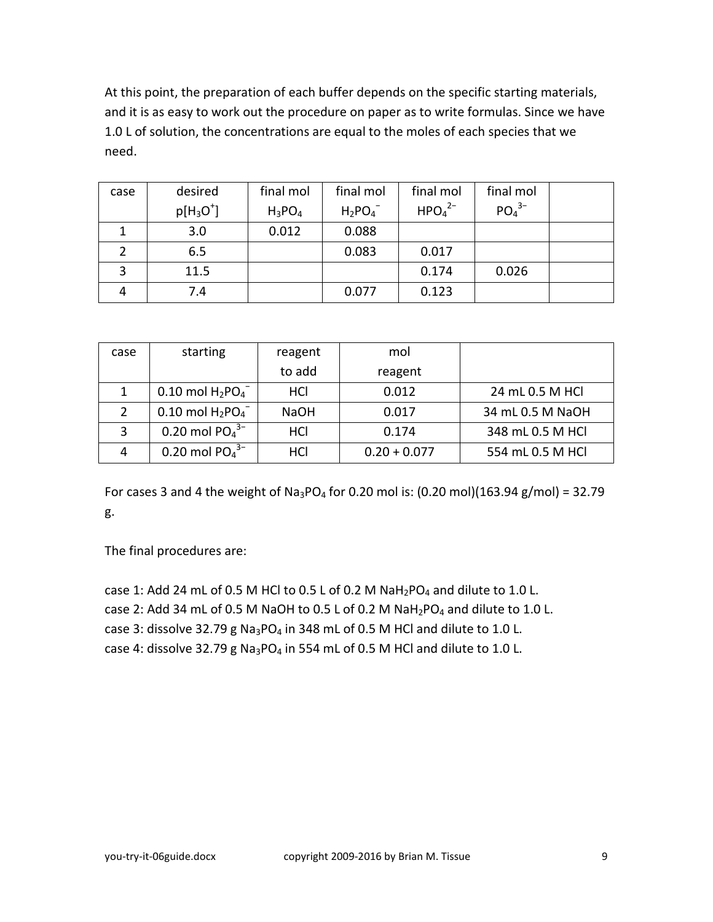At this point, the preparation of each buffer depends on the specific starting materials, and it is as easy to work out the procedure on paper as to write formulas. Since we have 1.0 L of solution, the concentrations are equal to the moles of each species that we need.

| case | desired     | final mol | final mol | final mol                      | final mol |  |
|------|-------------|-----------|-----------|--------------------------------|-----------|--|
|      | $p[H_3O^+]$ | $H_3PO_4$ | $H_2PO_4$ | HPO <sub>4</sub> <sup>2–</sup> | $PO43-$   |  |
| 1    | 3.0         | 0.012     | 0.088     |                                |           |  |
|      | 6.5         |           | 0.083     | 0.017                          |           |  |
| 3    | 11.5        |           |           | 0.174                          | 0.026     |  |
|      | 7.4         |           | 0.077     | 0.123                          |           |  |

| case | starting                         | reagent     | mol            |                  |
|------|----------------------------------|-------------|----------------|------------------|
|      |                                  | to add      | reagent        |                  |
| 1    | $0.10$ mol $H_2PO_4^-$           | HCI         | 0.012          | 24 mL 0.5 M HCl  |
|      | $0.10$ mol $H_2PO_4^-$           | <b>NaOH</b> | 0.017          | 34 mL 0.5 M NaOH |
| 3    | 0.20 mol $PO43–$                 | HCI         | 0.174          | 348 mL 0.5 M HCl |
| 4    | $0.20$ mol PO $_4$ <sup>3-</sup> | HCl         | $0.20 + 0.077$ | 554 mL 0.5 M HCl |

For cases 3 and 4 the weight of Na<sub>3</sub>PO<sub>4</sub> for 0.20 mol is: (0.20 mol)(163.94 g/mol) = 32.79 g.

The final procedures are:

case 1: Add 24 mL of 0.5 M HCl to 0.5 L of 0.2 M  $NaH_2PO_4$  and dilute to 1.0 L. case 2: Add 34 mL of 0.5 M NaOH to 0.5 L of 0.2 M NaH<sub>2</sub>PO<sub>4</sub> and dilute to 1.0 L. case 3: dissolve 32.79 g Na<sub>3</sub>PO<sub>4</sub> in 348 mL of 0.5 M HCl and dilute to 1.0 L. case 4: dissolve 32.79 g Na<sub>3</sub>PO<sub>4</sub> in 554 mL of 0.5 M HCl and dilute to 1.0 L.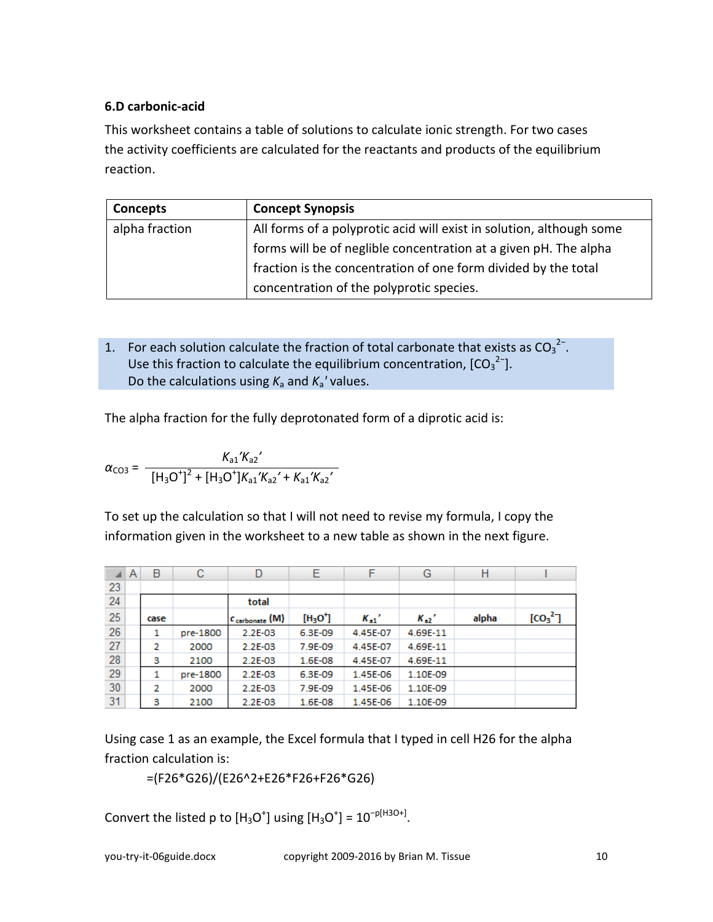## <span id="page-9-0"></span>**6.D carbonic-acid**

This worksheet contains a table of solutions to calculate ionic strength. For two cases the activity coefficients are calculated for the reactants and products of the equilibrium reaction.

| Concepts       | <b>Concept Synopsis</b>                                              |
|----------------|----------------------------------------------------------------------|
| alpha fraction | All forms of a polyprotic acid will exist in solution, although some |
|                | forms will be of neglible concentration at a given pH. The alpha     |
|                | fraction is the concentration of one form divided by the total       |
|                | concentration of the polyprotic species.                             |

1. For each solution calculate the fraction of total carbonate that exists as  $CO_3^2$ . Use this fraction to calculate the equilibrium concentration,  ${[CO_3}^{2-}].$ Do the calculations using  $K_a$  and  $K_a$ <sup>'</sup> values.

The alpha fraction for the fully deprotonated form of a diprotic acid is:

$$
\alpha_{\text{CO3}} = \frac{K_{a1}^{\prime}K_{a2}^{\prime}}{[H_3O^{\dagger}]^2 + [H_3O^{\dagger}]K_{a1}^{\prime}K_{a2}^{\prime} + K_{a1}^{\prime}K_{a2}^{\prime}}
$$

To set up the calculation so that I will not need to revise my formula, I copy the information given in the worksheet to a new table as shown in the next figure.

| ◢  | Α | B    | с        | D                          | Ε        | F        | G        | Η     |                                 |
|----|---|------|----------|----------------------------|----------|----------|----------|-------|---------------------------------|
| 23 |   |      |          |                            |          |          |          |       |                                 |
| 24 |   |      |          | total                      |          |          |          |       |                                 |
| 25 |   | case |          | $c_{\text{carbonate}}$ (M) | $[H3O+]$ | $K_{a1}$ | $K_{a2}$ | alpha | [CO <sub>3</sub> <sup>2</sup> ] |
| 26 |   | 1    | pre-1800 | 2.2E-03                    | 6.3E-09  | 4.45E-07 | 4.69E-11 |       |                                 |
| 27 |   | 2    | 2000     | 2.2E-03                    | 7.9E-09  | 4.45E-07 | 4.69E-11 |       |                                 |
| 28 |   | з    | 2100     | 2.2E-03                    | 1.6E-08  | 4.45E-07 | 4.69E-11 |       |                                 |
| 29 |   | 1    | pre-1800 | 2.2E-03                    | 6.3E-09  | 1.45E-06 | 1.10E-09 |       |                                 |
| 30 |   | 2    | 2000     | 2.2E-03                    | 7.9E-09  | 1.45E-06 | 1.10E-09 |       |                                 |
| 31 |   | з    | 2100     | 2.2E-03                    | 1.6E-08  | 1.45E-06 | 1.10E-09 |       |                                 |

Using case 1 as an example, the Excel formula that I typed in cell H26 for the alpha fraction calculation is:

=(F26\*G26)/(E26^2+E26\*F26+F26\*G26)

Convert the listed p to  $[H_3O^+]$  using  $[H_3O^+] = 10^{-p[H3O+]}.$